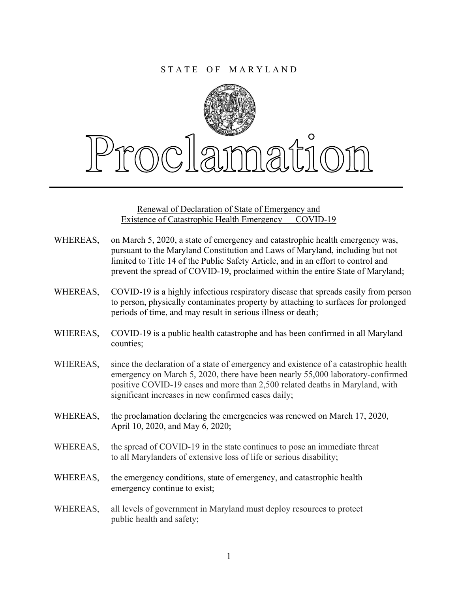

Renewal of Declaration of State of Emergency and Existence of Catastrophic Health Emergency — COVID-19

- WHEREAS, on March 5, 2020, a state of emergency and catastrophic health emergency was, pursuant to the Maryland Constitution and Laws of Maryland, including but not limited to Title 14 of the Public Safety Article, and in an effort to control and prevent the spread of COVID-19, proclaimed within the entire State of Maryland;
- WHEREAS, COVID-19 is a highly infectious respiratory disease that spreads easily from person to person, physically contaminates property by attaching to surfaces for prolonged periods of time, and may result in serious illness or death;
- WHEREAS, COVID-19 is a public health catastrophe and has been confirmed in all Maryland counties;
- WHEREAS, since the declaration of a state of emergency and existence of a catastrophic health emergency on March 5, 2020, there have been nearly 55,000 laboratory-confirmed positive COVID-19 cases and more than 2,500 related deaths in Maryland, with significant increases in new confirmed cases daily;
- WHEREAS, the proclamation declaring the emergencies was renewed on March 17, 2020, April 10, 2020, and May 6, 2020;
- WHEREAS, the spread of COVID-19 in the state continues to pose an immediate threat to all Marylanders of extensive loss of life or serious disability;
- WHEREAS, the emergency conditions, state of emergency, and catastrophic health emergency continue to exist;
- WHEREAS, all levels of government in Maryland must deploy resources to protect public health and safety;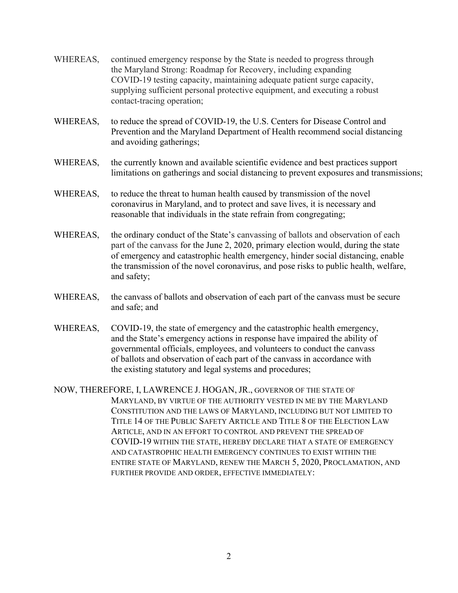- WHEREAS, continued emergency response by the State is needed to progress through the Maryland Strong: Roadmap for Recovery, including expanding COVID-19 testing capacity, maintaining adequate patient surge capacity, supplying sufficient personal protective equipment, and executing a robust contact-tracing operation;
- WHEREAS, to reduce the spread of COVID-19, the U.S. Centers for Disease Control and Prevention and the Maryland Department of Health recommend social distancing and avoiding gatherings;
- WHEREAS, the currently known and available scientific evidence and best practices support limitations on gatherings and social distancing to prevent exposures and transmissions;
- WHEREAS, to reduce the threat to human health caused by transmission of the novel coronavirus in Maryland, and to protect and save lives, it is necessary and reasonable that individuals in the state refrain from congregating;
- WHEREAS, the ordinary conduct of the State's canvassing of ballots and observation of each part of the canvass for the June 2, 2020, primary election would, during the state of emergency and catastrophic health emergency, hinder social distancing, enable the transmission of the novel coronavirus, and pose risks to public health, welfare, and safety;
- WHEREAS, the canvass of ballots and observation of each part of the canvass must be secure and safe; and
- WHEREAS, COVID-19, the state of emergency and the catastrophic health emergency, and the State's emergency actions in response have impaired the ability of governmental officials, employees, and volunteers to conduct the canvass of ballots and observation of each part of the canvass in accordance with the existing statutory and legal systems and procedures;
- NOW, THEREFORE, I, LAWRENCE J. HOGAN, JR., GOVERNOR OF THE STATE OF MARYLAND, BY VIRTUE OF THE AUTHORITY VESTED IN ME BY THE MARYLAND CONSTITUTION AND THE LAWS OF MARYLAND, INCLUDING BUT NOT LIMITED TO TITLE 14 OF THE PUBLIC SAFETY ARTICLE AND TITLE 8 OF THE ELECTION LAW ARTICLE, AND IN AN EFFORT TO CONTROL AND PREVENT THE SPREAD OF COVID-19 WITHIN THE STATE, HEREBY DECLARE THAT A STATE OF EMERGENCY AND CATASTROPHIC HEALTH EMERGENCY CONTINUES TO EXIST WITHIN THE ENTIRE STATE OF MARYLAND, RENEW THE MARCH 5, 2020, PROCLAMATION, AND FURTHER PROVIDE AND ORDER, EFFECTIVE IMMEDIATELY: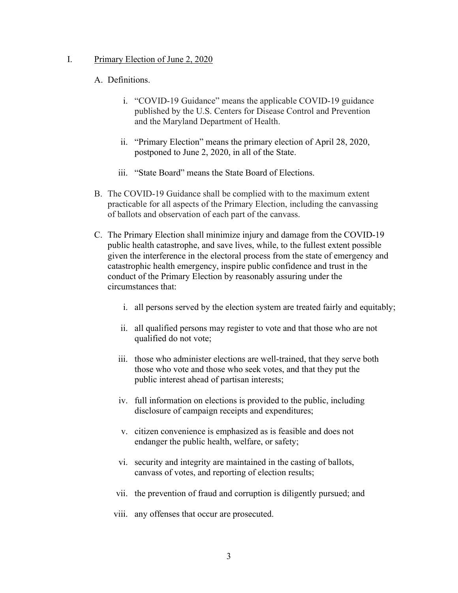## I. Primary Election of June 2, 2020

## A. Definitions.

- i. "COVID-19 Guidance" means the applicable COVID-19 guidance published by the U.S. Centers for Disease Control and Prevention and the Maryland Department of Health.
- ii. "Primary Election" means the primary election of April 28, 2020, postponed to June 2, 2020, in all of the State.
- iii. "State Board" means the State Board of Elections.
- B. The COVID-19 Guidance shall be complied with to the maximum extent practicable for all aspects of the Primary Election, including the canvassing of ballots and observation of each part of the canvass.
- C. The Primary Election shall minimize injury and damage from the COVID-19 public health catastrophe, and save lives, while, to the fullest extent possible given the interference in the electoral process from the state of emergency and catastrophic health emergency, inspire public confidence and trust in the conduct of the Primary Election by reasonably assuring under the circumstances that:
	- i. all persons served by the election system are treated fairly and equitably;
	- ii. all qualified persons may register to vote and that those who are not qualified do not vote;
	- iii. those who administer elections are well-trained, that they serve both those who vote and those who seek votes, and that they put the public interest ahead of partisan interests;
	- iv. full information on elections is provided to the public, including disclosure of campaign receipts and expenditures;
	- v. citizen convenience is emphasized as is feasible and does not endanger the public health, welfare, or safety;
	- vi. security and integrity are maintained in the casting of ballots, canvass of votes, and reporting of election results;
	- vii. the prevention of fraud and corruption is diligently pursued; and
	- viii. any offenses that occur are prosecuted.